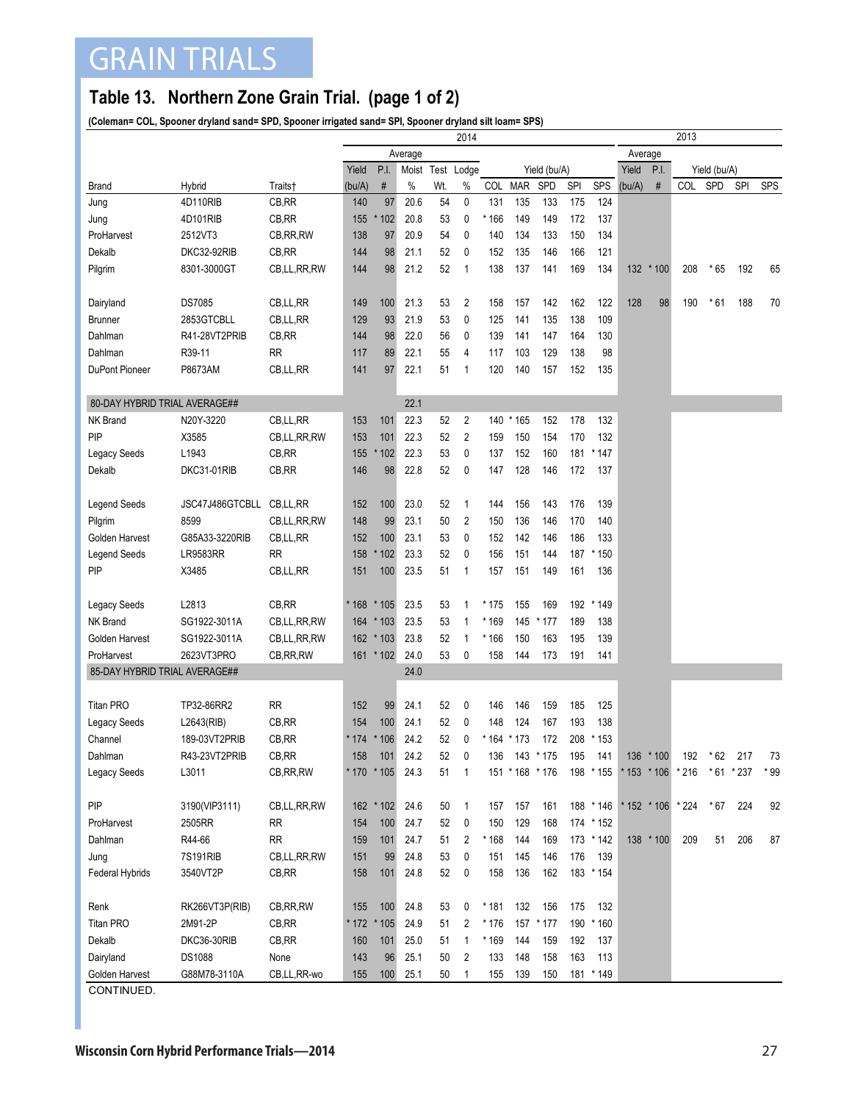## GRAIN TRIALS

## **Table 13. Northern Zone Grain Trial. (page 1 of 2)**

**(Coleman= COL, Spooner dryland sand= SPD, Spooner irrigated sand= SPI, Spooner dryland silt loam= SPS)**

|                               |                             |             | 2014   |             |      |     |                   |       |                        |              |     |                  |        | 2013                    |                   |       |                   |            |  |  |
|-------------------------------|-----------------------------|-------------|--------|-------------|------|-----|-------------------|-------|------------------------|--------------|-----|------------------|--------|-------------------------|-------------------|-------|-------------------|------------|--|--|
|                               |                             |             |        | Average     |      |     |                   |       |                        |              |     | Average          |        |                         |                   |       |                   |            |  |  |
|                               |                             |             | Yield  | P.I.        |      |     | Moist Test Lodge  |       |                        | Yield (bu/A) |     | Yield            | P.I.   | Yield (bu/A)            |                   |       |                   |            |  |  |
| <b>Brand</b>                  | Hybrid                      | Traits†     | (bu/A) | $\#$        | $\%$ | Wt. | $\%$              |       | COL MAR                | SPD          | SPI | SPS              | (bu/A) | #                       | COL               | SPD   | SPI               | <b>SPS</b> |  |  |
| Jung                          | 4D110RIB                    | CB, RR      | 140    | 97          | 20.6 | 54  | 0                 | 131   | 135                    | 133          | 175 | 124              |        |                         |                   |       |                   |            |  |  |
| Jung                          | 4D101RIB                    | CB, RR      | 155    | * 102       | 20.8 | 53  | 0                 | * 166 | 149                    | 149          | 172 | 137              |        |                         |                   |       |                   |            |  |  |
| ProHarvest                    | 2512VT3                     | CB, RR, RW  | 138    | 97          | 20.9 | 54  | 0                 | 140   | 134                    | 133          | 150 | 134              |        |                         |                   |       |                   |            |  |  |
| Dekalb                        | DKC32-92RIB                 | CB,RR       | 144    | 98          | 21.1 | 52  | 0                 | 152   | 135                    | 146          | 166 | 121              |        |                         |                   |       |                   |            |  |  |
| Pilgrim                       | 8301-3000GT                 | CB,LL,RR,RW | 144    | 98          | 21.2 | 52  | $\mathbf{1}$      | 138   | 137                    | 141          | 169 | 134              | 132    | $*100$                  | 208               | $*65$ | 192               | 65         |  |  |
|                               |                             |             |        |             |      |     |                   |       |                        |              |     |                  |        |                         |                   |       |                   |            |  |  |
| Dairyland                     | <b>DS7085</b>               | CB,LL,RR    | 149    | 100         | 21.3 | 53  | 2                 | 158   | 157                    | 142          | 162 | 122              | 128    | 98                      | 190               | * 61  | 188               | 70         |  |  |
| <b>Brunner</b>                | 2853GTCBLL                  | CB,LL,RR    | 129    | 93          | 21.9 | 53  | 0                 | 125   | 141                    | 135          | 138 | 109              |        |                         |                   |       |                   |            |  |  |
| Dahlman                       | R41-28VT2PRIB               | CB, RR      | 144    | 98          | 22.0 | 56  | 0                 | 139   | 141                    | 147          | 164 | 130              |        |                         |                   |       |                   |            |  |  |
| Dahlman                       | R39-11                      | <b>RR</b>   | 117    | 89          | 22.1 | 55  | 4                 | 117   | 103                    | 129          | 138 | 98               |        |                         |                   |       |                   |            |  |  |
| DuPont Pioneer                | P8673AM                     | CB,LL,RR    | 141    | 97          | 22.1 | 51  | 1                 | 120   | 140                    | 157          | 152 | 135              |        |                         |                   |       |                   |            |  |  |
| 80-DAY HYBRID TRIAL AVERAGE## |                             |             |        |             | 22.1 |     |                   |       |                        |              |     |                  |        |                         |                   |       |                   |            |  |  |
| <b>NK Brand</b>               | N20Y-3220                   | CB,LL,RR    | 153    | 101         | 22.3 | 52  | 2                 |       | 140 * 165              | 152          | 178 | 132              |        |                         |                   |       |                   |            |  |  |
| PIP                           | X3585                       | CB,LL,RR,RW | 153    | 101         | 22.3 | 52  | 2                 | 159   | 150                    | 154          | 170 | 132              |        |                         |                   |       |                   |            |  |  |
| <b>Legacy Seeds</b>           | L1943                       | CB,RR       | 155    | * 102       | 22.3 | 53  | 0                 | 137   | 152                    | 160          | 181 | * 147            |        |                         |                   |       |                   |            |  |  |
| Dekalb                        | DKC31-01RIB                 | CB, RR      | 146    | 98          | 22.8 | 52  | 0                 | 147   | 128                    | 146          | 172 | 137              |        |                         |                   |       |                   |            |  |  |
|                               |                             |             |        |             |      |     |                   |       |                        |              |     |                  |        |                         |                   |       |                   |            |  |  |
| <b>Legend Seeds</b>           | JSC47J486GTCBLL             | CB,LL,RR    | 152    | 100         | 23.0 | 52  | $\mathbf{1}$      | 144   | 156                    | 143          | 176 | 139              |        |                         |                   |       |                   |            |  |  |
| Pilgrim                       | 8599                        | CB,LL,RR,RW | 148    | 99          | 23.1 | 50  | 2                 | 150   | 136                    | 146          | 170 | 140              |        |                         |                   |       |                   |            |  |  |
| Golden Harvest                | G85A33-3220RIB              | CB,LL,RR    | 152    | 100         | 23.1 | 53  | 0                 | 152   | 142                    | 146          | 186 | 133              |        |                         |                   |       |                   |            |  |  |
| <b>Legend Seeds</b>           | <b>LR9583RR</b>             | <b>RR</b>   | 158    | * 102       | 23.3 | 52  | 0                 | 156   | 151                    | 144          | 187 | * 150            |        |                         |                   |       |                   |            |  |  |
| PIP                           | X3485                       | CB,LL,RR    | 151    | 100         | 23.5 | 51  | $\mathbf{1}$      | 157   | 151                    | 149          | 161 | 136              |        |                         |                   |       |                   |            |  |  |
|                               |                             |             |        |             |      |     |                   |       |                        |              |     |                  |        |                         |                   |       |                   |            |  |  |
| <b>Legacy Seeds</b>           | L2813                       | CB, RR      | * 168  | $*105$      | 23.5 | 53  | 1                 | * 175 | 155                    | 169          | 192 | * 149            |        |                         |                   |       |                   |            |  |  |
| NK Brand                      | SG1922-3011A                | CB,LL,RR,RW | 164    | $*103$      | 23.5 | 53  | $\mathbf 1$       | * 169 | 145                    | * 177        | 189 | 138              |        |                         |                   |       |                   |            |  |  |
| Golden Harvest                | SG1922-3011A                | CB,LL,RR,RW |        | $162 * 103$ | 23.8 | 52  | $\mathbf 1$       | * 166 | 150                    | 163          | 195 | 139              |        |                         |                   |       |                   |            |  |  |
| ProHarvest                    | 2623VT3PRO                  | CB, RR, RW  |        | 161 * 102   | 24.0 | 53  | 0                 | 158   | 144                    | 173          | 191 | 141              |        |                         |                   |       |                   |            |  |  |
| 85-DAY HYBRID TRIAL AVERAGE## |                             |             |        |             | 24.0 |     |                   |       |                        |              |     |                  |        |                         |                   |       |                   |            |  |  |
| <b>Titan PRO</b>              | TP32-86RR2                  | <b>RR</b>   | 152    | 99          | 24.1 | 52  | 0                 | 146   | 146                    | 159          | 185 | 125              |        |                         |                   |       |                   |            |  |  |
|                               |                             | CB,RR       | 154    | 100         | 24.1 | 52  | 0                 | 148   | 124                    | 167          | 193 | 138              |        |                         |                   |       |                   |            |  |  |
| Legacy Seeds<br>Channel       | L2643(RIB)<br>189-03VT2PRIB |             |        | * 174 * 106 | 24.2 | 52  | 0                 |       | * 164 * 173            | 172          |     | 208 * 153        |        |                         |                   |       |                   |            |  |  |
| Dahlman                       |                             | CB, RR      |        | 101         | 24.2 | 52  |                   |       |                        |              |     |                  |        |                         |                   |       |                   |            |  |  |
| <b>Legacy Seeds</b>           | R43-23VT2PRIB<br>L3011      | CB,RR       | 158    | * 170 * 105 | 24.3 | 51  | 0<br>$\mathbf{1}$ | 136   | 143<br>151 * 168 * 176 | * 175        | 195 | 141<br>198 * 155 | 136    | $*100$<br>$* 153 * 106$ | 192<br>$*216$     | 62    | 217<br>* 61 * 237 | 73<br>* 99 |  |  |
|                               |                             | CB, RR, RW  |        |             |      |     |                   |       |                        |              |     |                  |        |                         |                   |       |                   |            |  |  |
| PIP                           | 3190(VIP3111)               | CB,LL,RR,RW |        | 162 * 102   | 24.6 | 50  | 1                 | 157   | 157                    | 161          |     | 188 * 146        |        |                         | * 152 * 106 * 224 | * 67  | 224               | 92         |  |  |
| ProHarvest                    | 2505RR                      | <b>RR</b>   | 154    | 100         | 24.7 | 52  | 0                 | 150   | 129                    | 168          |     | 174 * 152        |        |                         |                   |       |                   |            |  |  |
| Dahlman                       | R44-66                      | <b>RR</b>   | 159    | 101         | 24.7 | 51  | 2                 | * 168 | 144                    | 169          |     | 173 * 142        |        | $138 * 100$             | 209               | 51    | 206               | 87         |  |  |
| Jung                          | 7S191RIB                    | CB,LL,RR,RW | 151    | 99          | 24.8 | 53  | 0                 | 151   | 145                    | 146          | 176 | 139              |        |                         |                   |       |                   |            |  |  |
| Federal Hybrids               | 3540VT2P                    | CB,RR       | 158    | 101         | 24.8 | 52  | 0                 | 158   | 136                    | 162          |     | 183 * 154        |        |                         |                   |       |                   |            |  |  |
|                               |                             |             |        |             |      |     |                   |       |                        |              |     |                  |        |                         |                   |       |                   |            |  |  |
| Renk                          | RK266VT3P(RIB)              | CB, RR, RW  | 155    | 100         | 24.8 | 53  | 0                 | * 181 | 132                    | 156          | 175 | 132              |        |                         |                   |       |                   |            |  |  |
| <b>Titan PRO</b>              | 2M91-2P                     | CB,RR       | * 172  | $*105$      | 24.9 | 51  | 2                 | * 176 | 157                    | $*177$       |     | 190 * 160        |        |                         |                   |       |                   |            |  |  |
| Dekalb                        | DKC36-30RIB                 | CB,RR       | 160    | 101         | 25.0 | 51  | $\mathbf{1}$      | * 169 | 144                    | 159          | 192 | 137              |        |                         |                   |       |                   |            |  |  |
| Dairyland                     | <b>DS1088</b>               | None        | 143    | 96          | 25.1 | 50  | 2                 | 133   | 148                    | 158          | 163 | 113              |        |                         |                   |       |                   |            |  |  |
| Golden Harvest                | G88M78-3110A                | CB,LL,RR-wo | 155    | 100         | 25.1 | 50  | 1                 | 155   | 139                    | 150          |     | 181 * 149        |        |                         |                   |       |                   |            |  |  |
| CONTINUED.                    |                             |             |        |             |      |     |                   |       |                        |              |     |                  |        |                         |                   |       |                   |            |  |  |